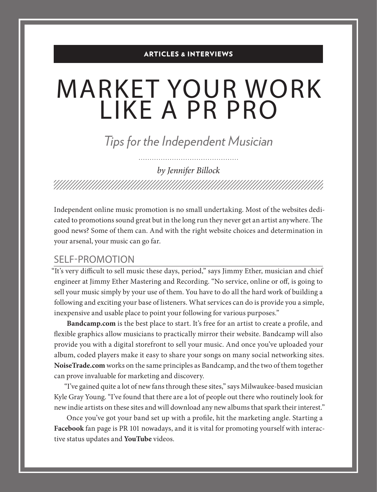#### ARTICLES & INTERVIEWS

# MARKET YOUR WORK LIKE A PR PRO

*Tips for the Independent Musician* 

*by Jennifer Billock*

IIIIIIIIIIIIIIIIII

Independent online music promotion is no small undertaking. Most of the websites dedicated to promotions sound great but in the long run they never get an artist anywhere. The good news? Some of them can. And with the right website choices and determination in your arsenal, your music can go far.

### SELF-PROMOTION

"It's very difficult to sell music these days, period," says Jimmy Ether, musician and chief engineer at Jimmy Ether Mastering and Recording. "No service, online or off, is going to sell your music simply by your use of them. You have to do all the hard work of building a following and exciting your base of listeners. What services can do is provide you a simple, inexpensive and usable place to point your following for various purposes."

**Bandcamp.com** is the best place to start. It's free for an artist to create a profile, and flexible graphics allow musicians to practically mirror their website. Bandcamp will also provide you with a digital storefront to sell your music. And once you've uploaded your album, coded players make it easy to share your songs on many social networking sites. **NoiseTrade.com** works on the same principles as Bandcamp, and the two of them together can prove invaluable for marketing and discovery.

"I've gained quite a lot of new fans through these sites," says Milwaukee-based musician Kyle Gray Young. "I've found that there are a lot of people out there who routinely look for new indie artists on these sites and will download any new albums that spark their interest."

Once you've got your band set up with a profile, hit the marketing angle. Starting a **Facebook** fan page is PR 101 nowadays, and it is vital for promoting yourself with interactive status updates and **YouTube** videos.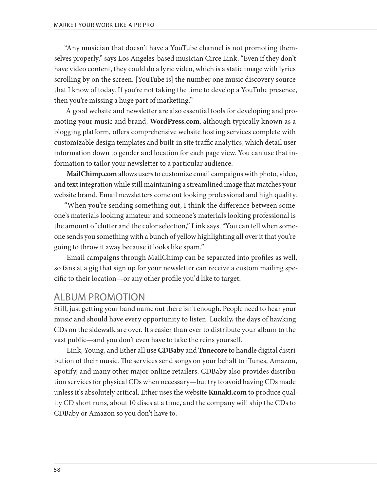"Any musician that doesn't have a YouTube channel is not promoting themselves properly," says Los Angeles-based musician Circe Link. "Even if they don't have video content, they could do a lyric video, which is a static image with lyrics scrolling by on the screen. [YouTube is] the number one music discovery source that I know of today. If you're not taking the time to develop a YouTube presence, then you're missing a huge part of marketing."

A good website and newsletter are also essential tools for developing and promoting your music and brand. **WordPress.com**, although typically known as a blogging platform, offers comprehensive website hosting services complete with customizable design templates and built-in site traffic analytics, which detail user information down to gender and location for each page view. You can use that information to tailor your newsletter to a particular audience.

**MailChimp.com** allows users to customize email campaigns with photo, video, and text integration while still maintaining a streamlined image that matches your website brand. Email newsletters come out looking professional and high quality.

"When you're sending something out, I think the difference between someone's materials looking amateur and someone's materials looking professional is the amount of clutter and the color selection," Link says. "You can tell when someone sends you something with a bunch of yellow highlighting all over it that you're going to throw it away because it looks like spam."

Email campaigns through MailChimp can be separated into profiles as well, so fans at a gig that sign up for your newsletter can receive a custom mailing specific to their location—or any other profile you'd like to target.

## ALBUM PROMOTION

Still, just getting your band name out there isn't enough. People need to hear your music and should have every opportunity to listen. Luckily, the days of hawking CDs on the sidewalk are over. It's easier than ever to distribute your album to the vast public—and you don't even have to take the reins yourself.

Link, Young, and Ether all use **CDBaby** and **Tunecore** to handle digital distribution of their music. The services send songs on your behalf to iTunes, Amazon, Spotify, and many other major online retailers. CDBaby also provides distribution services for physical CDs when necessary—but try to avoid having CDs made unless it's absolutely critical. Ether uses the website **Kunaki.com** to produce quality CD short runs, about 10 discs at a time, and the company will ship the CDs to CDBaby or Amazon so you don't have to.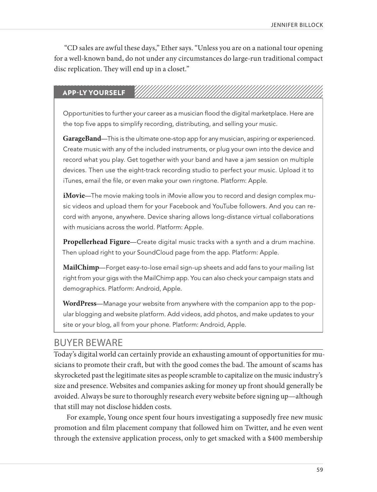"CD sales are awful these days," Ether says. "Unless you are on a national tour opening for a well-known band, do not under any circumstances do large-run traditional compact disc replication. They will end up in a closet."

#### APP-LY YOURSELF

Opportunities to further your career as a musician flood the digital marketplace. Here are the top five apps to simplify recording, distributing, and selling your music.

**GarageBand**—This is the ultimate one-stop app for any musician, aspiring or experienced. Create music with any of the included instruments, or plug your own into the device and record what you play. Get together with your band and have a jam session on multiple devices. Then use the eight-track recording studio to perfect your music. Upload it to iTunes, email the file, or even make your own ringtone. Platform: Apple.

**iMovie**—The movie making tools in iMovie allow you to record and design complex music videos and upload them for your Facebook and YouTube followers. And you can record with anyone, anywhere. Device sharing allows long-distance virtual collaborations with musicians across the world. Platform: Apple.

**Propellerhead Figure**—Create digital music tracks with a synth and a drum machine. Then upload right to your SoundCloud page from the app. Platform: Apple.

**MailChimp**—Forget easy-to-lose email sign-up sheets and add fans to your mailing list right from your gigs with the MailChimp app. You can also check your campaign stats and demographics. Platform: Android, Apple.

**WordPress**—Manage your website from anywhere with the companion app to the popular blogging and website platform. Add videos, add photos, and make updates to your site or your blog, all from your phone. Platform: Android, Apple.

## BUYER BEWARE

Today's digital world can certainly provide an exhausting amount of opportunities for musicians to promote their craft, but with the good comes the bad. The amount of scams has skyrocketed past the legitimate sites as people scramble to capitalize on the music industry's size and presence. Websites and companies asking for money up front should generally be avoided. Always be sure to thoroughly research every website before signing up—although that still may not disclose hidden costs.

For example, Young once spent four hours investigating a supposedly free new music promotion and film placement company that followed him on Twitter, and he even went through the extensive application process, only to get smacked with a \$400 membership